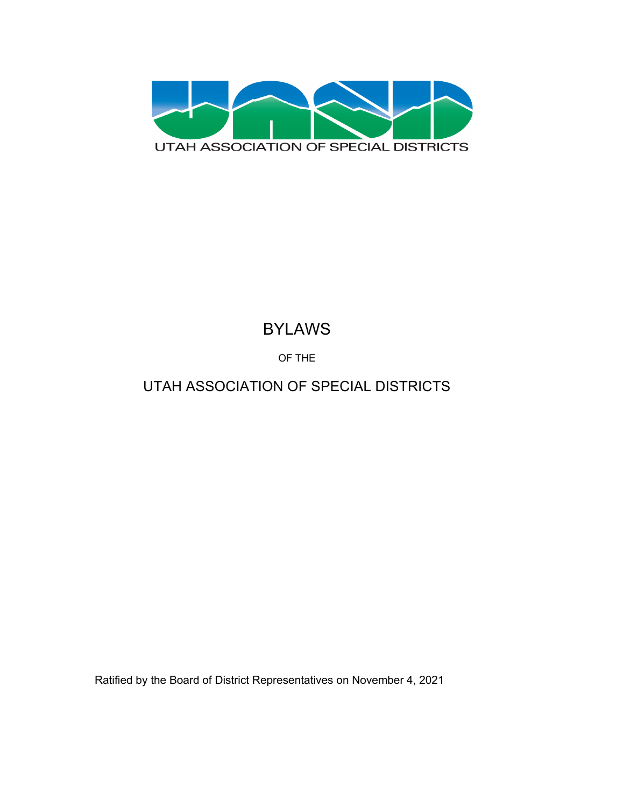

# BYLAWS

OF THE

# UTAH ASSOCIATION OF SPECIAL DISTRICTS

Ratified by the Board of District Representatives on November 4, 2021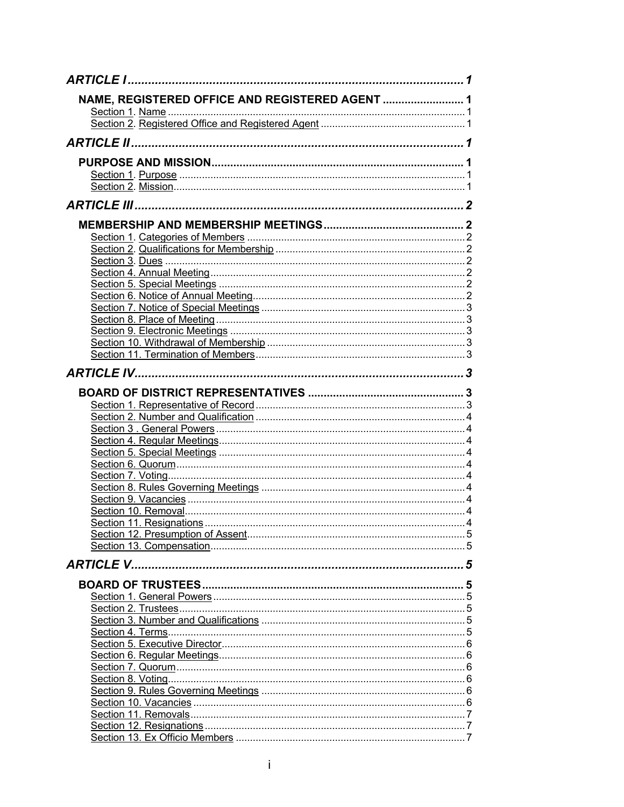| NAME, REGISTERED OFFICE AND REGISTERED AGENT  1 |  |
|-------------------------------------------------|--|
|                                                 |  |
|                                                 |  |
|                                                 |  |
|                                                 |  |
|                                                 |  |
|                                                 |  |
|                                                 |  |
|                                                 |  |
|                                                 |  |
|                                                 |  |
|                                                 |  |
|                                                 |  |
|                                                 |  |
|                                                 |  |
|                                                 |  |
|                                                 |  |
|                                                 |  |
|                                                 |  |
|                                                 |  |
|                                                 |  |
|                                                 |  |
|                                                 |  |
|                                                 |  |
|                                                 |  |
|                                                 |  |
|                                                 |  |
|                                                 |  |
|                                                 |  |
|                                                 |  |
|                                                 |  |
|                                                 |  |
|                                                 |  |
|                                                 |  |
|                                                 |  |
|                                                 |  |
|                                                 |  |
|                                                 |  |
|                                                 |  |
|                                                 |  |
|                                                 |  |
|                                                 |  |
|                                                 |  |
|                                                 |  |
|                                                 |  |
|                                                 |  |
|                                                 |  |
|                                                 |  |
|                                                 |  |
|                                                 |  |
|                                                 |  |
|                                                 |  |
|                                                 |  |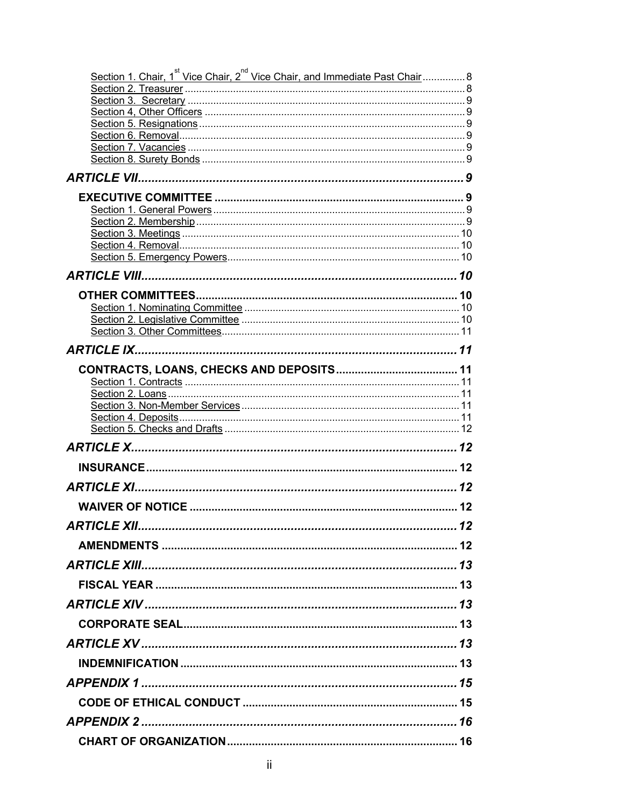| Section 1. Chair, 1 <sup>st</sup> Vice Chair, 2 <sup>nd</sup> Vice Chair, and Immediate Past Chair  8 |    |  |  |  |
|-------------------------------------------------------------------------------------------------------|----|--|--|--|
|                                                                                                       |    |  |  |  |
|                                                                                                       |    |  |  |  |
|                                                                                                       |    |  |  |  |
|                                                                                                       |    |  |  |  |
|                                                                                                       |    |  |  |  |
|                                                                                                       |    |  |  |  |
|                                                                                                       |    |  |  |  |
|                                                                                                       |    |  |  |  |
|                                                                                                       |    |  |  |  |
|                                                                                                       |    |  |  |  |
|                                                                                                       |    |  |  |  |
|                                                                                                       |    |  |  |  |
|                                                                                                       |    |  |  |  |
|                                                                                                       |    |  |  |  |
|                                                                                                       |    |  |  |  |
|                                                                                                       |    |  |  |  |
|                                                                                                       |    |  |  |  |
|                                                                                                       |    |  |  |  |
|                                                                                                       |    |  |  |  |
|                                                                                                       |    |  |  |  |
|                                                                                                       |    |  |  |  |
|                                                                                                       |    |  |  |  |
|                                                                                                       |    |  |  |  |
|                                                                                                       |    |  |  |  |
|                                                                                                       |    |  |  |  |
|                                                                                                       |    |  |  |  |
| <b>ARTICLE XII</b>                                                                                    | 12 |  |  |  |
|                                                                                                       |    |  |  |  |
|                                                                                                       |    |  |  |  |
|                                                                                                       |    |  |  |  |
|                                                                                                       |    |  |  |  |
|                                                                                                       |    |  |  |  |
|                                                                                                       |    |  |  |  |
|                                                                                                       |    |  |  |  |
|                                                                                                       |    |  |  |  |
|                                                                                                       |    |  |  |  |
|                                                                                                       |    |  |  |  |
|                                                                                                       |    |  |  |  |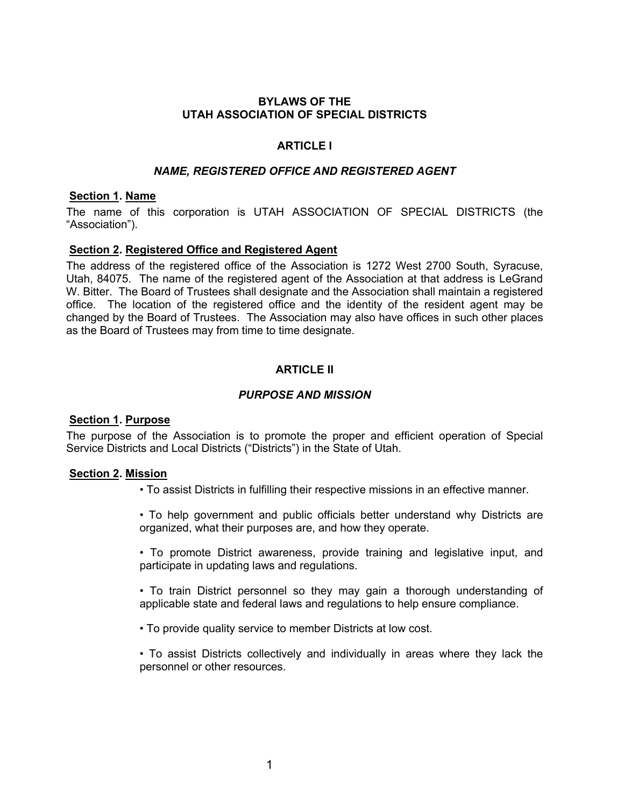# **BYLAWS OF THE UTAH ASSOCIATION OF SPECIAL DISTRICTS**

# **ARTICLE I**

### *NAME, REGISTERED OFFICE AND REGISTERED AGENT*

### **Section 1. Name**

The name of this corporation is UTAH ASSOCIATION OF SPECIAL DISTRICTS (the "Association").

### **Section 2. Registered Office and Registered Agent**

The address of the registered office of the Association is 1272 West 2700 South, Syracuse, Utah, 84075. The name of the registered agent of the Association at that address is LeGrand W. Bitter. The Board of Trustees shall designate and the Association shall maintain a registered office. The location of the registered office and the identity of the resident agent may be changed by the Board of Trustees. The Association may also have offices in such other places as the Board of Trustees may from time to time designate.

# **ARTICLE II**

# *PURPOSE AND MISSION*

### **Section 1. Purpose**

The purpose of the Association is to promote the proper and efficient operation of Special Service Districts and Local Districts ("Districts") in the State of Utah.

### **Section 2. Mission**

- To assist Districts in fulfilling their respective missions in an effective manner.
- To help government and public officials better understand why Districts are organized, what their purposes are, and how they operate.
- To promote District awareness, provide training and legislative input, and participate in updating laws and regulations.
- To train District personnel so they may gain a thorough understanding of applicable state and federal laws and regulations to help ensure compliance.
- To provide quality service to member Districts at low cost.
- To assist Districts collectively and individually in areas where they lack the personnel or other resources.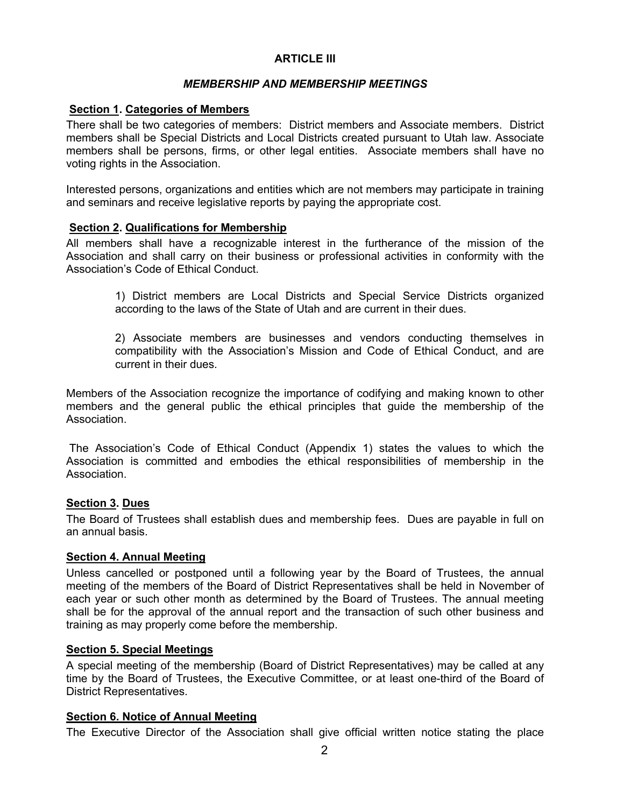# **ARTICLE III**

# *MEMBERSHIP AND MEMBERSHIP MEETINGS*

# **Section 1. Categories of Members**

There shall be two categories of members: District members and Associate members. District members shall be Special Districts and Local Districts created pursuant to Utah law. Associate members shall be persons, firms, or other legal entities. Associate members shall have no voting rights in the Association.

Interested persons, organizations and entities which are not members may participate in training and seminars and receive legislative reports by paying the appropriate cost.

# **Section 2. Qualifications for Membership**

All members shall have a recognizable interest in the furtherance of the mission of the Association and shall carry on their business or professional activities in conformity with the Association's Code of Ethical Conduct.

> 1) District members are Local Districts and Special Service Districts organized according to the laws of the State of Utah and are current in their dues.

> 2) Associate members are businesses and vendors conducting themselves in compatibility with the Association's Mission and Code of Ethical Conduct, and are current in their dues.

Members of the Association recognize the importance of codifying and making known to other members and the general public the ethical principles that guide the membership of the Association.

The Association's Code of Ethical Conduct (Appendix 1) states the values to which the Association is committed and embodies the ethical responsibilities of membership in the Association.

### **Section 3. Dues**

The Board of Trustees shall establish dues and membership fees. Dues are payable in full on an annual basis.

### **Section 4. Annual Meeting**

Unless cancelled or postponed until a following year by the Board of Trustees, the annual meeting of the members of the Board of District Representatives shall be held in November of each year or such other month as determined by the Board of Trustees. The annual meeting shall be for the approval of the annual report and the transaction of such other business and training as may properly come before the membership.

# **Section 5. Special Meetings**

A special meeting of the membership (Board of District Representatives) may be called at any time by the Board of Trustees, the Executive Committee, or at least one-third of the Board of District Representatives.

### **Section 6. Notice of Annual Meeting**

The Executive Director of the Association shall give official written notice stating the place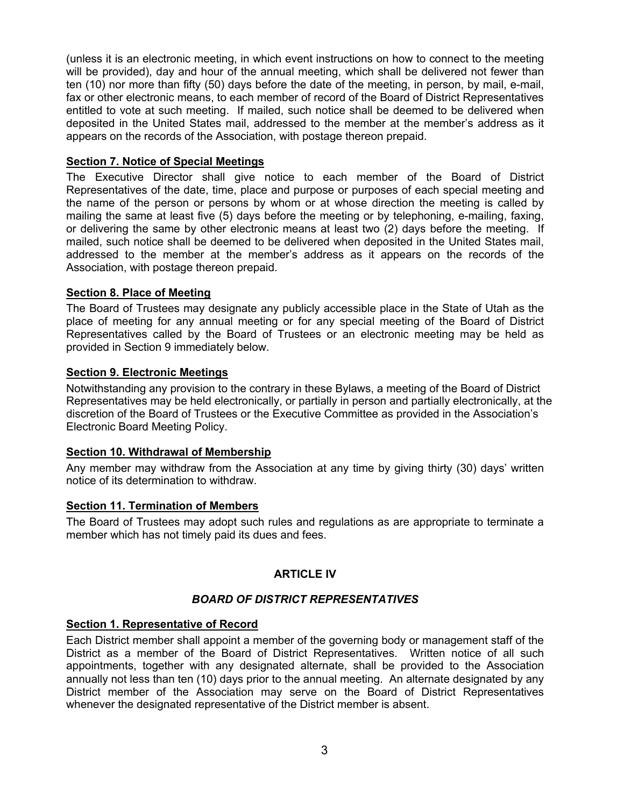(unless it is an electronic meeting, in which event instructions on how to connect to the meeting will be provided), day and hour of the annual meeting, which shall be delivered not fewer than ten (10) nor more than fifty (50) days before the date of the meeting, in person, by mail, e-mail, fax or other electronic means, to each member of record of the Board of District Representatives entitled to vote at such meeting. If mailed, such notice shall be deemed to be delivered when deposited in the United States mail, addressed to the member at the member's address as it appears on the records of the Association, with postage thereon prepaid.

# **Section 7. Notice of Special Meetings**

The Executive Director shall give notice to each member of the Board of District Representatives of the date, time, place and purpose or purposes of each special meeting and the name of the person or persons by whom or at whose direction the meeting is called by mailing the same at least five (5) days before the meeting or by telephoning, e-mailing, faxing, or delivering the same by other electronic means at least two (2) days before the meeting. If mailed, such notice shall be deemed to be delivered when deposited in the United States mail, addressed to the member at the member's address as it appears on the records of the Association, with postage thereon prepaid.

# **Section 8. Place of Meeting**

The Board of Trustees may designate any publicly accessible place in the State of Utah as the place of meeting for any annual meeting or for any special meeting of the Board of District Representatives called by the Board of Trustees or an electronic meeting may be held as provided in Section 9 immediately below.

# **Section 9. Electronic Meetings**

Notwithstanding any provision to the contrary in these Bylaws, a meeting of the Board of District Representatives may be held electronically, or partially in person and partially electronically, at the discretion of the Board of Trustees or the Executive Committee as provided in the Association's Electronic Board Meeting Policy.

### **Section 10. Withdrawal of Membership**

Any member may withdraw from the Association at any time by giving thirty (30) days' written notice of its determination to withdraw.

# **Section 11. Termination of Members**

The Board of Trustees may adopt such rules and regulations as are appropriate to terminate a member which has not timely paid its dues and fees.

# **ARTICLE IV**

# *BOARD OF DISTRICT REPRESENTATIVES*

### **Section 1. Representative of Record**

Each District member shall appoint a member of the governing body or management staff of the District as a member of the Board of District Representatives. Written notice of all such appointments, together with any designated alternate, shall be provided to the Association annually not less than ten (10) days prior to the annual meeting. An alternate designated by any District member of the Association may serve on the Board of District Representatives whenever the designated representative of the District member is absent.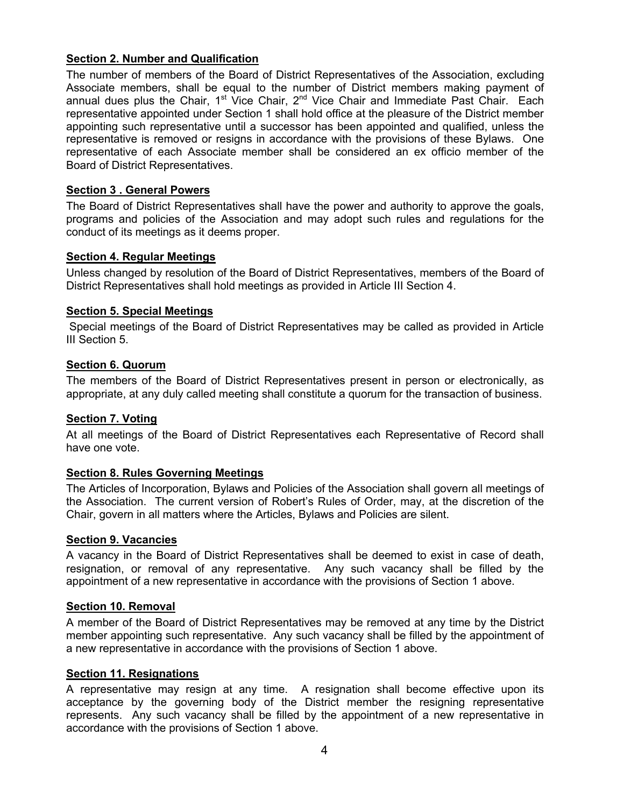# **Section 2. Number and Qualification**

The number of members of the Board of District Representatives of the Association, excluding Associate members, shall be equal to the number of District members making payment of annual dues plus the Chair,  $1^{st}$  Vice Chair,  $2^{nd}$  Vice Chair and Immediate Past Chair. Each representative appointed under Section 1 shall hold office at the pleasure of the District member appointing such representative until a successor has been appointed and qualified, unless the representative is removed or resigns in accordance with the provisions of these Bylaws. One representative of each Associate member shall be considered an ex officio member of the Board of District Representatives.

# **Section 3 . General Powers**

The Board of District Representatives shall have the power and authority to approve the goals, programs and policies of the Association and may adopt such rules and regulations for the conduct of its meetings as it deems proper.

# **Section 4. Regular Meetings**

Unless changed by resolution of the Board of District Representatives, members of the Board of District Representatives shall hold meetings as provided in Article III Section 4.

# **Section 5. Special Meetings**

Special meetings of the Board of District Representatives may be called as provided in Article III Section 5.

# **Section 6. Quorum**

The members of the Board of District Representatives present in person or electronically, as appropriate, at any duly called meeting shall constitute a quorum for the transaction of business.

# **Section 7. Voting**

At all meetings of the Board of District Representatives each Representative of Record shall have one vote.

# **Section 8. Rules Governing Meetings**

The Articles of Incorporation, Bylaws and Policies of the Association shall govern all meetings of the Association. The current version of Robert's Rules of Order, may, at the discretion of the Chair, govern in all matters where the Articles, Bylaws and Policies are silent.

### **Section 9. Vacancies**

A vacancy in the Board of District Representatives shall be deemed to exist in case of death, resignation, or removal of any representative. Any such vacancy shall be filled by the appointment of a new representative in accordance with the provisions of Section 1 above.

### **Section 10. Removal**

A member of the Board of District Representatives may be removed at any time by the District member appointing such representative. Any such vacancy shall be filled by the appointment of a new representative in accordance with the provisions of Section 1 above.

### **Section 11. Resignations**

A representative may resign at any time. A resignation shall become effective upon its acceptance by the governing body of the District member the resigning representative represents. Any such vacancy shall be filled by the appointment of a new representative in accordance with the provisions of Section 1 above.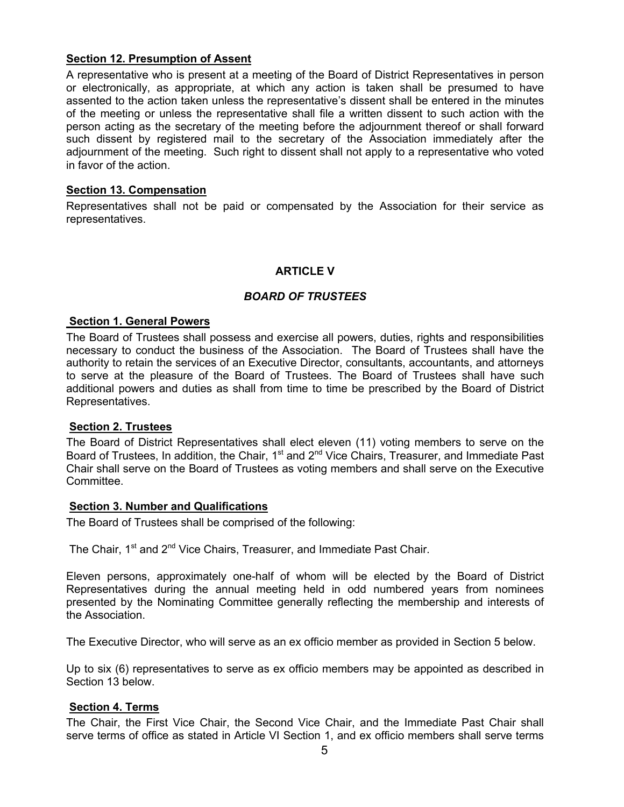# **Section 12. Presumption of Assent**

A representative who is present at a meeting of the Board of District Representatives in person or electronically, as appropriate, at which any action is taken shall be presumed to have assented to the action taken unless the representative's dissent shall be entered in the minutes of the meeting or unless the representative shall file a written dissent to such action with the person acting as the secretary of the meeting before the adjournment thereof or shall forward such dissent by registered mail to the secretary of the Association immediately after the adjournment of the meeting. Such right to dissent shall not apply to a representative who voted in favor of the action.

# **Section 13. Compensation**

Representatives shall not be paid or compensated by the Association for their service as representatives.

# **ARTICLE V**

# *BOARD OF TRUSTEES*

# **Section 1. General Powers**

The Board of Trustees shall possess and exercise all powers, duties, rights and responsibilities necessary to conduct the business of the Association. The Board of Trustees shall have the authority to retain the services of an Executive Director, consultants, accountants, and attorneys to serve at the pleasure of the Board of Trustees. The Board of Trustees shall have such additional powers and duties as shall from time to time be prescribed by the Board of District Representatives.

### **Section 2. Trustees**

The Board of District Representatives shall elect eleven (11) voting members to serve on the Board of Trustees, In addition, the Chair,  $1<sup>st</sup>$  and  $2<sup>nd</sup>$  Vice Chairs, Treasurer, and Immediate Past Chair shall serve on the Board of Trustees as voting members and shall serve on the Executive Committee.

### **Section 3. Number and Qualifications**

The Board of Trustees shall be comprised of the following:

```
The Chair, 1<sup>st</sup> and 2<sup>nd</sup> Vice Chairs, Treasurer, and Immediate Past Chair.
```
Eleven persons, approximately one-half of whom will be elected by the Board of District Representatives during the annual meeting held in odd numbered years from nominees presented by the Nominating Committee generally reflecting the membership and interests of the Association.

The Executive Director, who will serve as an ex officio member as provided in Section 5 below.

Up to six (6) representatives to serve as ex officio members may be appointed as described in Section 13 below.

# **Section 4. Terms**

The Chair, the First Vice Chair, the Second Vice Chair, and the Immediate Past Chair shall serve terms of office as stated in Article VI Section 1, and ex officio members shall serve terms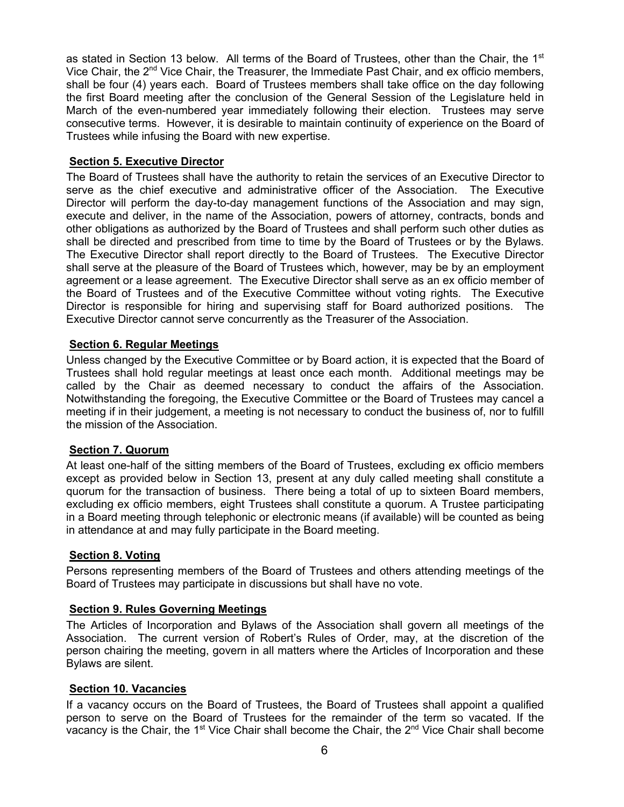as stated in Section 13 below. All terms of the Board of Trustees, other than the Chair, the 1<sup>st</sup> Vice Chair, the  $2<sup>nd</sup>$  Vice Chair, the Treasurer, the Immediate Past Chair, and ex officio members, shall be four (4) years each. Board of Trustees members shall take office on the day following the first Board meeting after the conclusion of the General Session of the Legislature held in March of the even-numbered year immediately following their election. Trustees may serve consecutive terms. However, it is desirable to maintain continuity of experience on the Board of Trustees while infusing the Board with new expertise.

# **Section 5. Executive Director**

The Board of Trustees shall have the authority to retain the services of an Executive Director to serve as the chief executive and administrative officer of the Association. The Executive Director will perform the day-to-day management functions of the Association and may sign, execute and deliver, in the name of the Association, powers of attorney, contracts, bonds and other obligations as authorized by the Board of Trustees and shall perform such other duties as shall be directed and prescribed from time to time by the Board of Trustees or by the Bylaws. The Executive Director shall report directly to the Board of Trustees. The Executive Director shall serve at the pleasure of the Board of Trustees which, however, may be by an employment agreement or a lease agreement. The Executive Director shall serve as an ex officio member of the Board of Trustees and of the Executive Committee without voting rights. The Executive Director is responsible for hiring and supervising staff for Board authorized positions. The Executive Director cannot serve concurrently as the Treasurer of the Association.

# **Section 6. Regular Meetings**

Unless changed by the Executive Committee or by Board action, it is expected that the Board of Trustees shall hold regular meetings at least once each month. Additional meetings may be called by the Chair as deemed necessary to conduct the affairs of the Association. Notwithstanding the foregoing, the Executive Committee or the Board of Trustees may cancel a meeting if in their judgement, a meeting is not necessary to conduct the business of, nor to fulfill the mission of the Association.

### **Section 7. Quorum**

At least one-half of the sitting members of the Board of Trustees, excluding ex officio members except as provided below in Section 13, present at any duly called meeting shall constitute a quorum for the transaction of business. There being a total of up to sixteen Board members, excluding ex officio members, eight Trustees shall constitute a quorum. A Trustee participating in a Board meeting through telephonic or electronic means (if available) will be counted as being in attendance at and may fully participate in the Board meeting.

### **Section 8. Voting**

Persons representing members of the Board of Trustees and others attending meetings of the Board of Trustees may participate in discussions but shall have no vote.

### **Section 9. Rules Governing Meetings**

The Articles of Incorporation and Bylaws of the Association shall govern all meetings of the Association. The current version of Robert's Rules of Order, may, at the discretion of the person chairing the meeting, govern in all matters where the Articles of Incorporation and these Bylaws are silent.

### **Section 10. Vacancies**

If a vacancy occurs on the Board of Trustees, the Board of Trustees shall appoint a qualified person to serve on the Board of Trustees for the remainder of the term so vacated. If the vacancy is the Chair, the 1<sup>st</sup> Vice Chair shall become the Chair, the 2<sup>nd</sup> Vice Chair shall become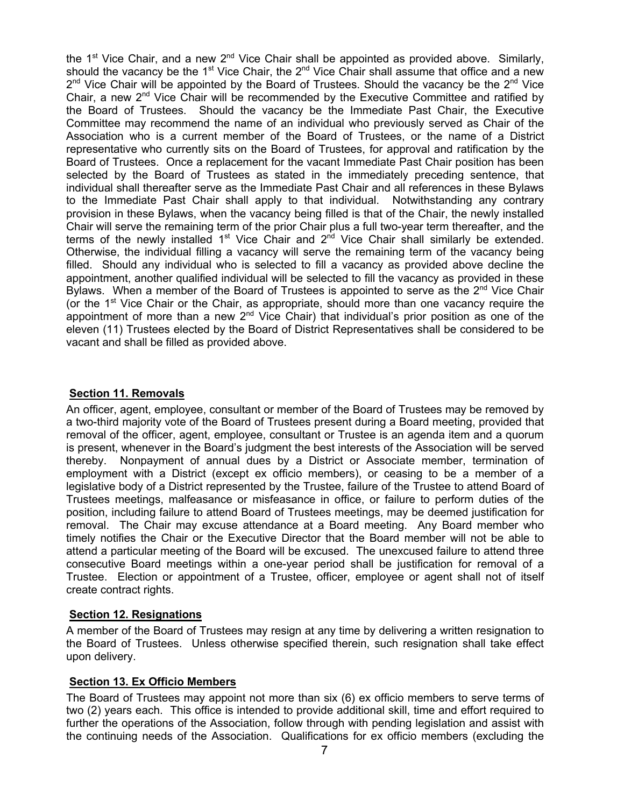the 1<sup>st</sup> Vice Chair, and a new 2<sup>nd</sup> Vice Chair shall be appointed as provided above. Similarly, should the vacancy be the 1<sup>st</sup> Vice Chair, the  $2^{nd}$  Vice Chair shall assume that office and a new  $2^{nd}$  Vice Chair will be appointed by the Board of Trustees. Should the vacancy be the  $2^{nd}$  Vice Chair, a new 2<sup>nd</sup> Vice Chair will be recommended by the Executive Committee and ratified by the Board of Trustees. Should the vacancy be the Immediate Past Chair, the Executive Committee may recommend the name of an individual who previously served as Chair of the Association who is a current member of the Board of Trustees, or the name of a District representative who currently sits on the Board of Trustees, for approval and ratification by the Board of Trustees. Once a replacement for the vacant Immediate Past Chair position has been selected by the Board of Trustees as stated in the immediately preceding sentence, that individual shall thereafter serve as the Immediate Past Chair and all references in these Bylaws to the Immediate Past Chair shall apply to that individual. Notwithstanding any contrary provision in these Bylaws, when the vacancy being filled is that of the Chair, the newly installed Chair will serve the remaining term of the prior Chair plus a full two-year term thereafter, and the terms of the newly installed  $1<sup>st</sup>$  Vice Chair and  $2<sup>nd</sup>$  Vice Chair shall similarly be extended. Otherwise, the individual filling a vacancy will serve the remaining term of the vacancy being filled. Should any individual who is selected to fill a vacancy as provided above decline the appointment, another qualified individual will be selected to fill the vacancy as provided in these Bylaws. When a member of the Board of Trustees is appointed to serve as the  $2<sup>nd</sup>$  Vice Chair (or the 1<sup>st</sup> Vice Chair or the Chair, as appropriate, should more than one vacancy require the appointment of more than a new  $2<sup>nd</sup>$  Vice Chair) that individual's prior position as one of the eleven (11) Trustees elected by the Board of District Representatives shall be considered to be vacant and shall be filled as provided above.

# **Section 11. Removals**

An officer, agent, employee, consultant or member of the Board of Trustees may be removed by a two-third majority vote of the Board of Trustees present during a Board meeting, provided that removal of the officer, agent, employee, consultant or Trustee is an agenda item and a quorum is present, whenever in the Board's judgment the best interests of the Association will be served thereby. Nonpayment of annual dues by a District or Associate member, termination of employment with a District (except ex officio members), or ceasing to be a member of a legislative body of a District represented by the Trustee, failure of the Trustee to attend Board of Trustees meetings, malfeasance or misfeasance in office, or failure to perform duties of the position, including failure to attend Board of Trustees meetings, may be deemed justification for removal. The Chair may excuse attendance at a Board meeting. Any Board member who timely notifies the Chair or the Executive Director that the Board member will not be able to attend a particular meeting of the Board will be excused. The unexcused failure to attend three consecutive Board meetings within a one-year period shall be justification for removal of a Trustee. Election or appointment of a Trustee, officer, employee or agent shall not of itself create contract rights.

# **Section 12. Resignations**

A member of the Board of Trustees may resign at any time by delivering a written resignation to the Board of Trustees. Unless otherwise specified therein, such resignation shall take effect upon delivery.

# **Section 13. Ex Officio Members**

The Board of Trustees may appoint not more than six (6) ex officio members to serve terms of two (2) years each. This office is intended to provide additional skill, time and effort required to further the operations of the Association, follow through with pending legislation and assist with the continuing needs of the Association. Qualifications for ex officio members (excluding the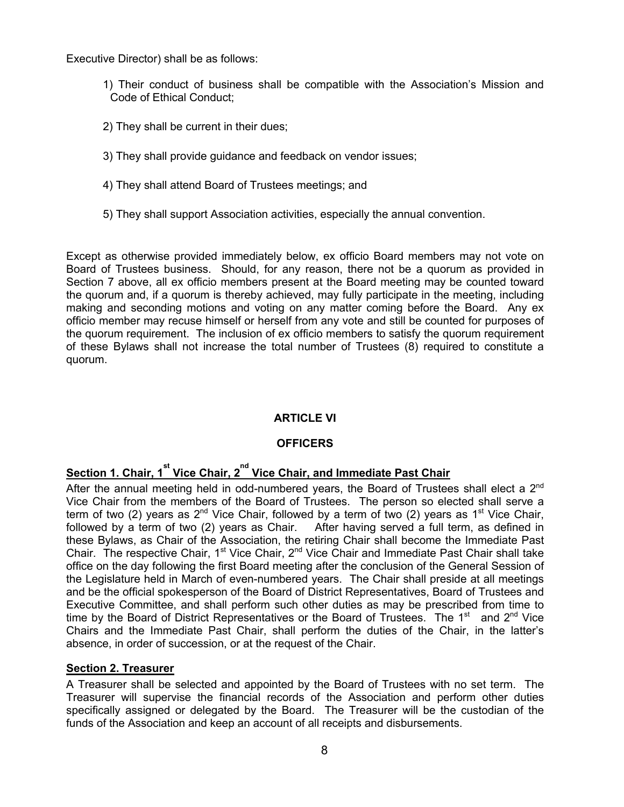Executive Director) shall be as follows:

- 1) Their conduct of business shall be compatible with the Association's Mission and Code of Ethical Conduct;
- 2) They shall be current in their dues;
- 3) They shall provide guidance and feedback on vendor issues;
- 4) They shall attend Board of Trustees meetings; and
- 5) They shall support Association activities, especially the annual convention.

Except as otherwise provided immediately below, ex officio Board members may not vote on Board of Trustees business. Should, for any reason, there not be a quorum as provided in Section 7 above, all ex officio members present at the Board meeting may be counted toward the quorum and, if a quorum is thereby achieved, may fully participate in the meeting, including making and seconding motions and voting on any matter coming before the Board. Any ex officio member may recuse himself or herself from any vote and still be counted for purposes of the quorum requirement. The inclusion of ex officio members to satisfy the quorum requirement of these Bylaws shall not increase the total number of Trustees (8) required to constitute a quorum.

# **ARTICLE VI**

# **OFFICERS**

# **<u>Section 1. Chair, 1<sup>st</sup> Vice Chair, 2<sup>nd</sup> Vice Chair, and Immediate Past Chair</u>**

After the annual meeting held in odd-numbered vears, the Board of Trustees shall elect a  $2^{nd}$ Vice Chair from the members of the Board of Trustees. The person so elected shall serve a term of two (2) years as 2<sup>nd</sup> Vice Chair, followed by a term of two (2) years as 1<sup>st</sup> Vice Chair, followed by a term of two (2) years as Chair. After having served a full term, as defined in these Bylaws, as Chair of the Association, the retiring Chair shall become the Immediate Past Chair. The respective Chair, 1<sup>st</sup> Vice Chair, 2<sup>nd</sup> Vice Chair and Immediate Past Chair shall take office on the day following the first Board meeting after the conclusion of the General Session of the Legislature held in March of even-numbered years. The Chair shall preside at all meetings and be the official spokesperson of the Board of District Representatives, Board of Trustees and Executive Committee, and shall perform such other duties as may be prescribed from time to time by the Board of District Representatives or the Board of Trustees. The 1<sup>st</sup> and 2<sup>nd</sup> Vice Chairs and the Immediate Past Chair, shall perform the duties of the Chair, in the latter's absence, in order of succession, or at the request of the Chair.

# **Section 2. Treasurer**

A Treasurer shall be selected and appointed by the Board of Trustees with no set term. The Treasurer will supervise the financial records of the Association and perform other duties specifically assigned or delegated by the Board. The Treasurer will be the custodian of the funds of the Association and keep an account of all receipts and disbursements.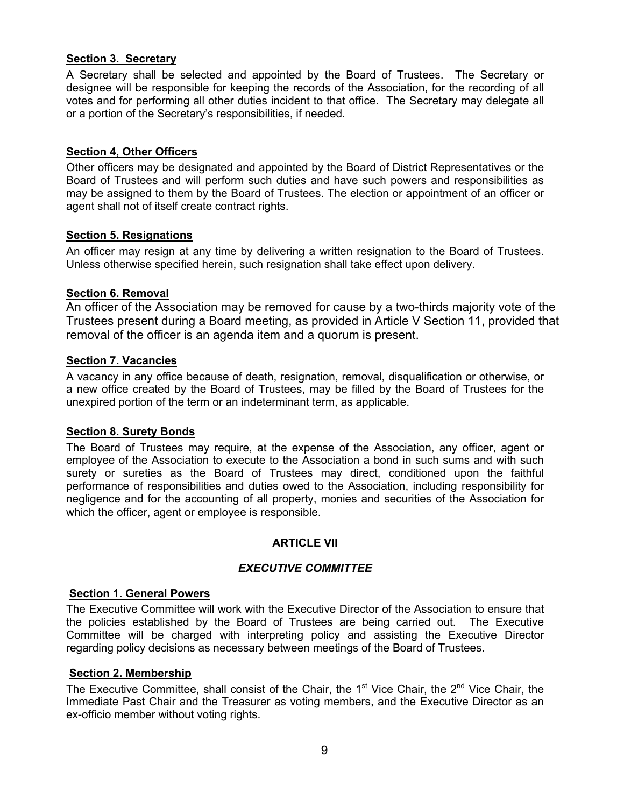# **Section 3. Secretary**

A Secretary shall be selected and appointed by the Board of Trustees. The Secretary or designee will be responsible for keeping the records of the Association, for the recording of all votes and for performing all other duties incident to that office. The Secretary may delegate all or a portion of the Secretary's responsibilities, if needed.

# **Section 4, Other Officers**

Other officers may be designated and appointed by the Board of District Representatives or the Board of Trustees and will perform such duties and have such powers and responsibilities as may be assigned to them by the Board of Trustees. The election or appointment of an officer or agent shall not of itself create contract rights.

# **Section 5. Resignations**

An officer may resign at any time by delivering a written resignation to the Board of Trustees. Unless otherwise specified herein, such resignation shall take effect upon delivery.

# **Section 6. Removal**

An officer of the Association may be removed for cause by a two-thirds majority vote of the Trustees present during a Board meeting, as provided in Article V Section 11, provided that removal of the officer is an agenda item and a quorum is present.

# **Section 7. Vacancies**

A vacancy in any office because of death, resignation, removal, disqualification or otherwise, or a new office created by the Board of Trustees, may be filled by the Board of Trustees for the unexpired portion of the term or an indeterminant term, as applicable.

# **Section 8. Surety Bonds**

The Board of Trustees may require, at the expense of the Association, any officer, agent or employee of the Association to execute to the Association a bond in such sums and with such surety or sureties as the Board of Trustees may direct, conditioned upon the faithful performance of responsibilities and duties owed to the Association, including responsibility for negligence and for the accounting of all property, monies and securities of the Association for which the officer, agent or employee is responsible.

# **ARTICLE VII**

# *EXECUTIVE COMMITTEE*

### **Section 1. General Powers**

The Executive Committee will work with the Executive Director of the Association to ensure that the policies established by the Board of Trustees are being carried out. The Executive Committee will be charged with interpreting policy and assisting the Executive Director regarding policy decisions as necessary between meetings of the Board of Trustees.

### **Section 2. Membership**

The Executive Committee, shall consist of the Chair, the  $1<sup>st</sup>$  Vice Chair, the  $2<sup>nd</sup>$  Vice Chair, the Immediate Past Chair and the Treasurer as voting members, and the Executive Director as an ex-officio member without voting rights.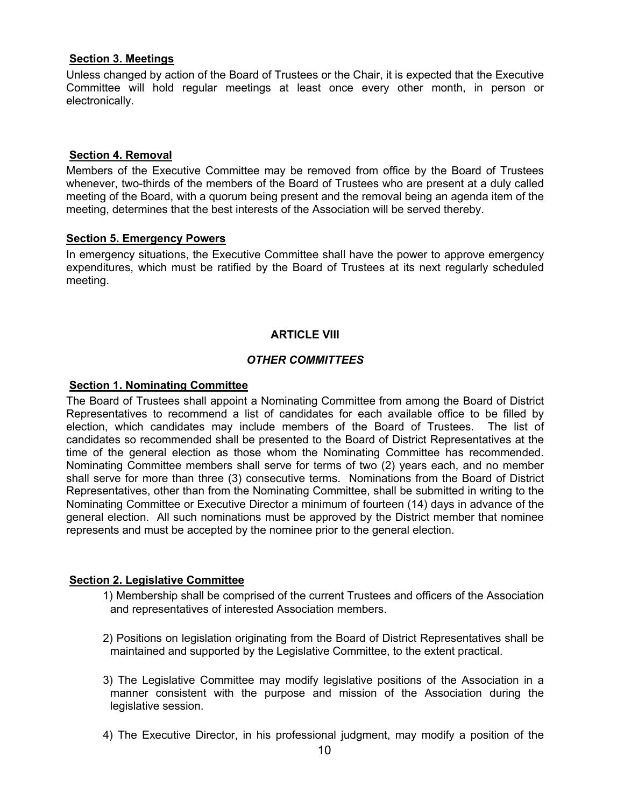# **Section 3. Meetings**

Unless changed by action of the Board of Trustees or the Chair, it is expected that the Executive Committee will hold regular meetings at least once every other month, in person or electronically.

# **Section 4. Removal**

Members of the Executive Committee may be removed from office by the Board of Trustees whenever, two-thirds of the members of the Board of Trustees who are present at a duly called meeting of the Board, with a quorum being present and the removal being an agenda item of the meeting, determines that the best interests of the Association will be served thereby.

# **Section 5. Emergency Powers**

In emergency situations, the Executive Committee shall have the power to approve emergency expenditures, which must be ratified by the Board of Trustees at its next regularly scheduled meeting.

# **ARTICLE VIII**

# *OTHER COMMITTEES*

# **Section 1. Nominating Committee**

The Board of Trustees shall appoint a Nominating Committee from among the Board of District Representatives to recommend a list of candidates for each available office to be filled by election, which candidates may include members of the Board of Trustees. The list of candidates so recommended shall be presented to the Board of District Representatives at the time of the general election as those whom the Nominating Committee has recommended. Nominating Committee members shall serve for terms of two (2) years each, and no member shall serve for more than three (3) consecutive terms. Nominations from the Board of District Representatives, other than from the Nominating Committee, shall be submitted in writing to the Nominating Committee or Executive Director a minimum of fourteen (14) days in advance of the general election. All such nominations must be approved by the District member that nominee represents and must be accepted by the nominee prior to the general election.

# **Section 2. Legislative Committee**

- 1) Membership shall be comprised of the current Trustees and officers of the Association and representatives of interested Association members.
- 2) Positions on legislation originating from the Board of District Representatives shall be maintained and supported by the Legislative Committee, to the extent practical.
- 3) The Legislative Committee may modify legislative positions of the Association in a manner consistent with the purpose and mission of the Association during the legislative session.
- 4) The Executive Director, in his professional judgment, may modify a position of the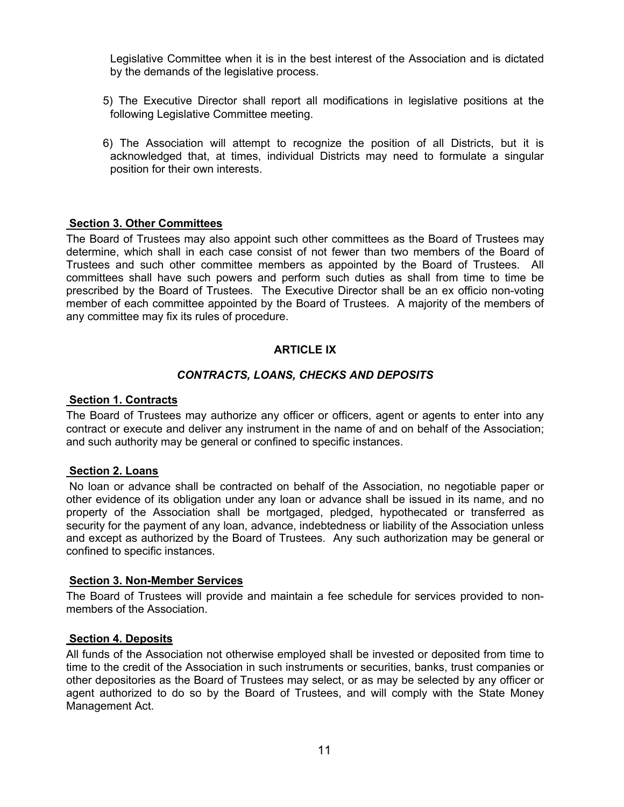Legislative Committee when it is in the best interest of the Association and is dictated by the demands of the legislative process.

- 5) The Executive Director shall report all modifications in legislative positions at the following Legislative Committee meeting.
- 6) The Association will attempt to recognize the position of all Districts, but it is acknowledged that, at times, individual Districts may need to formulate a singular position for their own interests.

### **Section 3. Other Committees**

The Board of Trustees may also appoint such other committees as the Board of Trustees may determine, which shall in each case consist of not fewer than two members of the Board of Trustees and such other committee members as appointed by the Board of Trustees. All committees shall have such powers and perform such duties as shall from time to time be prescribed by the Board of Trustees. The Executive Director shall be an ex officio non-voting member of each committee appointed by the Board of Trustees. A majority of the members of any committee may fix its rules of procedure.

### **ARTICLE IX**

### *CONTRACTS, LOANS, CHECKS AND DEPOSITS*

#### **Section 1. Contracts**

The Board of Trustees may authorize any officer or officers, agent or agents to enter into any contract or execute and deliver any instrument in the name of and on behalf of the Association; and such authority may be general or confined to specific instances.

### **Section 2. Loans**

No loan or advance shall be contracted on behalf of the Association, no negotiable paper or other evidence of its obligation under any loan or advance shall be issued in its name, and no property of the Association shall be mortgaged, pledged, hypothecated or transferred as security for the payment of any loan, advance, indebtedness or liability of the Association unless and except as authorized by the Board of Trustees. Any such authorization may be general or confined to specific instances.

#### **Section 3. Non-Member Services**

The Board of Trustees will provide and maintain a fee schedule for services provided to nonmembers of the Association.

### **Section 4. Deposits**

All funds of the Association not otherwise employed shall be invested or deposited from time to time to the credit of the Association in such instruments or securities, banks, trust companies or other depositories as the Board of Trustees may select, or as may be selected by any officer or agent authorized to do so by the Board of Trustees, and will comply with the State Money Management Act.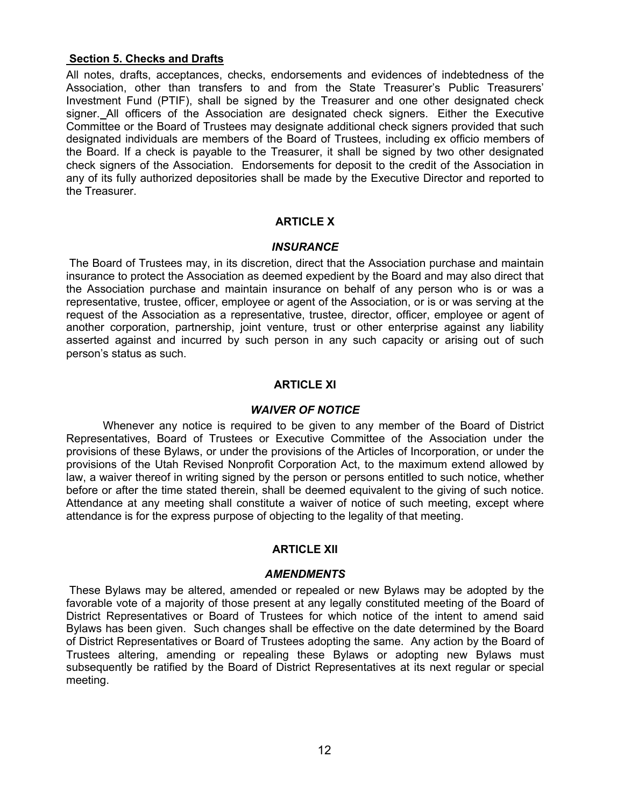# **Section 5. Checks and Drafts**

All notes, drafts, acceptances, checks, endorsements and evidences of indebtedness of the Association, other than transfers to and from the State Treasurer's Public Treasurers' Investment Fund (PTIF), shall be signed by the Treasurer and one other designated check signer. All officers of the Association are designated check signers. Either the Executive Committee or the Board of Trustees may designate additional check signers provided that such designated individuals are members of the Board of Trustees, including ex officio members of the Board. If a check is payable to the Treasurer, it shall be signed by two other designated check signers of the Association. Endorsements for deposit to the credit of the Association in any of its fully authorized depositories shall be made by the Executive Director and reported to the Treasurer.

# **ARTICLE X**

### *INSURANCE*

The Board of Trustees may, in its discretion, direct that the Association purchase and maintain insurance to protect the Association as deemed expedient by the Board and may also direct that the Association purchase and maintain insurance on behalf of any person who is or was a representative, trustee, officer, employee or agent of the Association, or is or was serving at the request of the Association as a representative, trustee, director, officer, employee or agent of another corporation, partnership, joint venture, trust or other enterprise against any liability asserted against and incurred by such person in any such capacity or arising out of such person's status as such.

# **ARTICLE XI**

### *WAIVER OF NOTICE*

Whenever any notice is required to be given to any member of the Board of District Representatives, Board of Trustees or Executive Committee of the Association under the provisions of these Bylaws, or under the provisions of the Articles of Incorporation, or under the provisions of the Utah Revised Nonprofit Corporation Act, to the maximum extend allowed by law, a waiver thereof in writing signed by the person or persons entitled to such notice, whether before or after the time stated therein, shall be deemed equivalent to the giving of such notice. Attendance at any meeting shall constitute a waiver of notice of such meeting, except where attendance is for the express purpose of objecting to the legality of that meeting.

# **ARTICLE XII**

### *AMENDMENTS*

These Bylaws may be altered, amended or repealed or new Bylaws may be adopted by the favorable vote of a majority of those present at any legally constituted meeting of the Board of District Representatives or Board of Trustees for which notice of the intent to amend said Bylaws has been given. Such changes shall be effective on the date determined by the Board of District Representatives or Board of Trustees adopting the same. Any action by the Board of Trustees altering, amending or repealing these Bylaws or adopting new Bylaws must subsequently be ratified by the Board of District Representatives at its next regular or special meeting.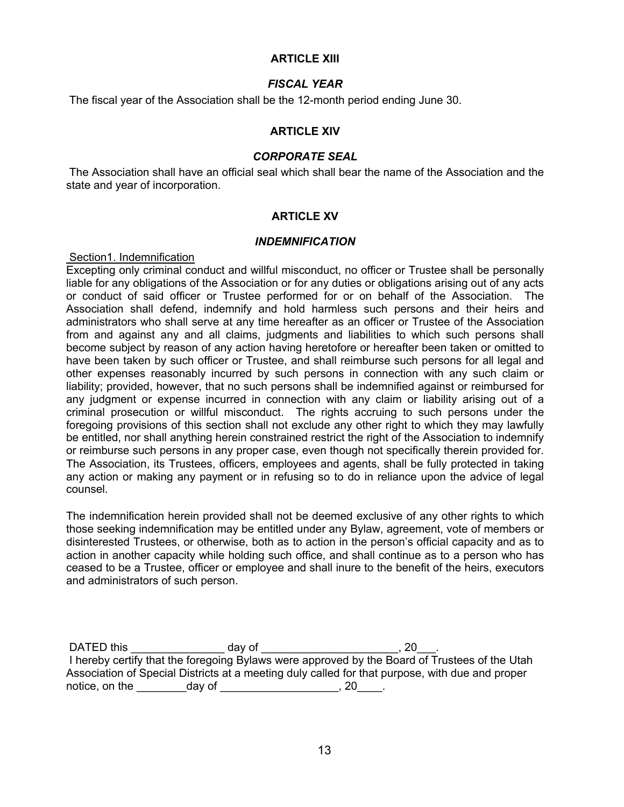# **ARTICLE XIII**

# *FISCAL YEAR*

The fiscal year of the Association shall be the 12-month period ending June 30.

# **ARTICLE XIV**

### *CORPORATE SEAL*

The Association shall have an official seal which shall bear the name of the Association and the state and year of incorporation.

### **ARTICLE XV**

### *INDEMNIFICATION*

### Section1. Indemnification

Excepting only criminal conduct and willful misconduct, no officer or Trustee shall be personally liable for any obligations of the Association or for any duties or obligations arising out of any acts or conduct of said officer or Trustee performed for or on behalf of the Association. The Association shall defend, indemnify and hold harmless such persons and their heirs and administrators who shall serve at any time hereafter as an officer or Trustee of the Association from and against any and all claims, judgments and liabilities to which such persons shall become subject by reason of any action having heretofore or hereafter been taken or omitted to have been taken by such officer or Trustee, and shall reimburse such persons for all legal and other expenses reasonably incurred by such persons in connection with any such claim or liability; provided, however, that no such persons shall be indemnified against or reimbursed for any judgment or expense incurred in connection with any claim or liability arising out of a criminal prosecution or willful misconduct. The rights accruing to such persons under the foregoing provisions of this section shall not exclude any other right to which they may lawfully be entitled, nor shall anything herein constrained restrict the right of the Association to indemnify or reimburse such persons in any proper case, even though not specifically therein provided for. The Association, its Trustees, officers, employees and agents, shall be fully protected in taking any action or making any payment or in refusing so to do in reliance upon the advice of legal counsel.

The indemnification herein provided shall not be deemed exclusive of any other rights to which those seeking indemnification may be entitled under any Bylaw, agreement, vote of members or disinterested Trustees, or otherwise, both as to action in the person's official capacity and as to action in another capacity while holding such office, and shall continue as to a person who has ceased to be a Trustee, officer or employee and shall inure to the benefit of the heirs, executors and administrators of such person.

| DATED this     | dav of | 20                                                                                              |
|----------------|--------|-------------------------------------------------------------------------------------------------|
|                |        | I hereby certify that the foregoing Bylaws were approved by the Board of Trustees of the Utah   |
|                |        | Association of Special Districts at a meeting duly called for that purpose, with due and proper |
| notice, on the | day of | ZU.                                                                                             |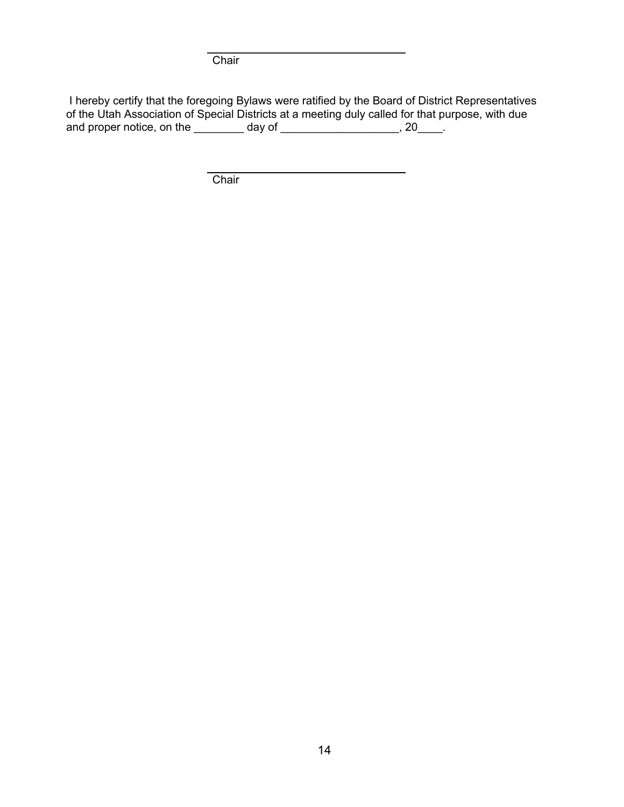**Chair** 

I hereby certify that the foregoing Bylaws were ratified by the Board of District Representatives of the Utah Association of Special Districts at a meeting duly called for that purpose, with due and proper notice, on the  $\qquad \qquad$  day of  $\qquad \qquad$   $\qquad$ , 20  $\qquad$ .

**Chair**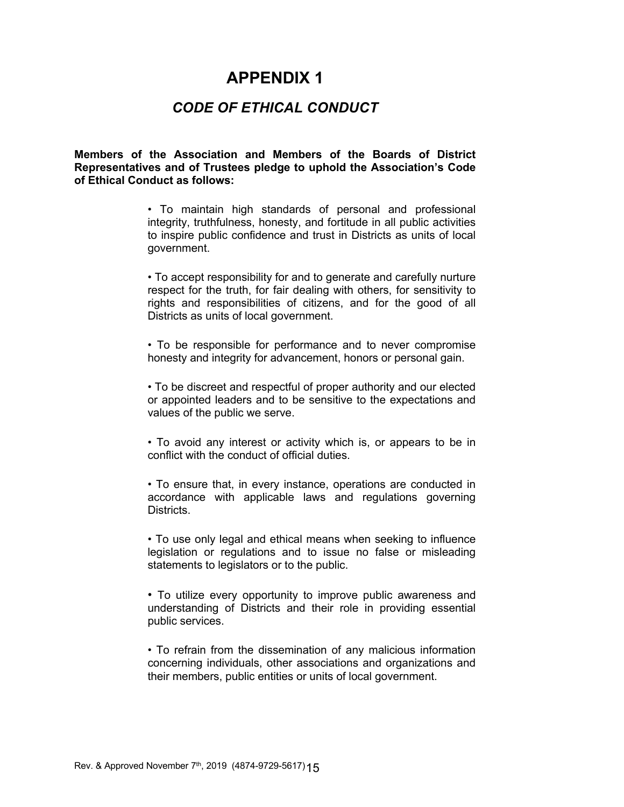# **APPENDIX 1**

# *CODE OF ETHICAL CONDUCT*

**Members of the Association and Members of the Boards of District Representatives and of Trustees pledge to uphold the Association's Code of Ethical Conduct as follows:**

> • To maintain high standards of personal and professional integrity, truthfulness, honesty, and fortitude in all public activities to inspire public confidence and trust in Districts as units of local government.

> • To accept responsibility for and to generate and carefully nurture respect for the truth, for fair dealing with others, for sensitivity to rights and responsibilities of citizens, and for the good of all Districts as units of local government.

> • To be responsible for performance and to never compromise honesty and integrity for advancement, honors or personal gain.

> • To be discreet and respectful of proper authority and our elected or appointed leaders and to be sensitive to the expectations and values of the public we serve.

> • To avoid any interest or activity which is, or appears to be in conflict with the conduct of official duties.

> • To ensure that, in every instance, operations are conducted in accordance with applicable laws and regulations governing Districts.

> • To use only legal and ethical means when seeking to influence legislation or regulations and to issue no false or misleading statements to legislators or to the public.

> • To utilize every opportunity to improve public awareness and understanding of Districts and their role in providing essential public services.

> • To refrain from the dissemination of any malicious information concerning individuals, other associations and organizations and their members, public entities or units of local government.